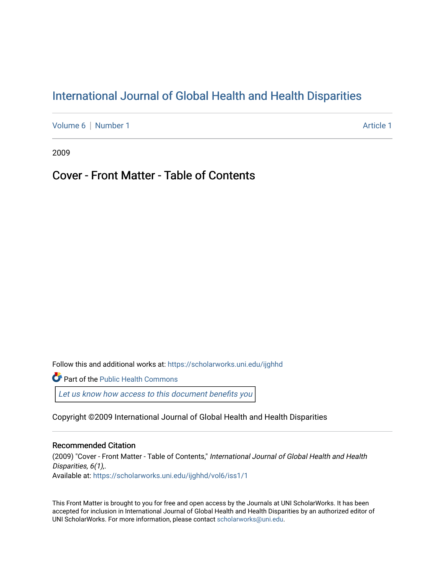# [International Journal of Global Health and Health Disparities](https://scholarworks.uni.edu/ijghhd)

[Volume 6](https://scholarworks.uni.edu/ijghhd/vol6) | [Number 1](https://scholarworks.uni.edu/ijghhd/vol6/iss1) Article 1

2009

# Cover - Front Matter - Table of Contents

Follow this and additional works at: [https://scholarworks.uni.edu/ijghhd](https://scholarworks.uni.edu/ijghhd?utm_source=scholarworks.uni.edu%2Fijghhd%2Fvol6%2Fiss1%2F1&utm_medium=PDF&utm_campaign=PDFCoverPages)

**Part of the Public Health Commons** 

Let us know how access to this document benefits you

Copyright ©2009 International Journal of Global Health and Health Disparities

#### Recommended Citation

(2009) "Cover - Front Matter - Table of Contents," International Journal of Global Health and Health Disparities, 6(1),. Available at: [https://scholarworks.uni.edu/ijghhd/vol6/iss1/1](https://scholarworks.uni.edu/ijghhd/vol6/iss1/1?utm_source=scholarworks.uni.edu%2Fijghhd%2Fvol6%2Fiss1%2F1&utm_medium=PDF&utm_campaign=PDFCoverPages) 

This Front Matter is brought to you for free and open access by the Journals at UNI ScholarWorks. It has been accepted for inclusion in International Journal of Global Health and Health Disparities by an authorized editor of UNI ScholarWorks. For more information, please contact [scholarworks@uni.edu.](mailto:scholarworks@uni.edu)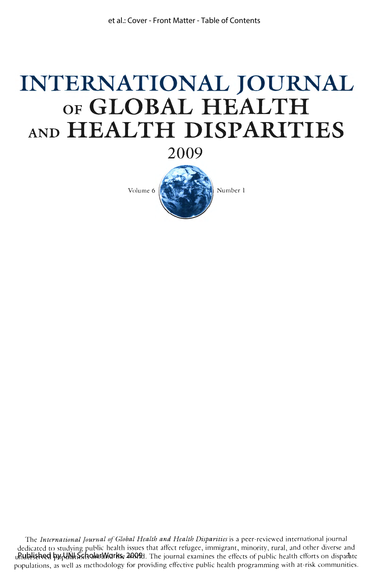# **INTERNATIONAL JOURNAL OF GLOBAL HEALTH AND HEALTH DISPARITIES**

**2009** 



The *International Journal of Global Health and Health Disparities* is a peer-reviewed international journal dedicated to studying public health issues that affect refugee, immigrant, minority, rural, and other diverse and (Rublished by blill is sholar Works, 2009). The journal examines the effects of public health efforts on disparate populations, as well as methodology for providing effective public health programming with at-risk communities.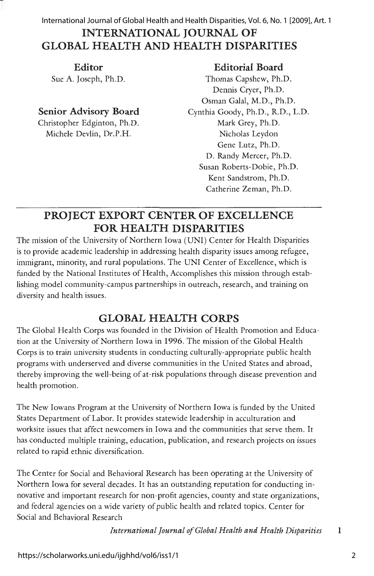## **INTERNATIONAL JOURNAL OF GLOBAL HEALTH AND HEALTH DISPARITIES**  International Journal of Global Health and Health Disparities, Vol. 6, No. 1 [2009], Art. 1

**Editor**  Sue A. Joseph, Ph.D.

### **Senior Advisory Board**

Christopher Edginton, Ph.D. Michele Devlin, Dr.P.H.

#### **Editorial Board**

Thomas Capshew, Ph.D. Dennis Cryer, Ph.D. Osman Galal, M.D., Ph.D. Cynthia Goody, Ph.D., R.D., L.D. Mark Grey, Ph.D. Nicholas Leydon Gene Lutz, Ph.D. D. Randy Mercer, Ph.D. Susan Roberts-Dobie, Ph.D. Kent Sandstrom, Ph.D. Catherine Zeman, Ph.D.

# **PROJECT EXPORT CENTER OF EXCELLENCE FOR HEALTH DISPARITIES**

The mission of the University of Northern Iowa (UNI) Center for Health Disparities is to provide academic leadership in addressing health disparity issues among refugee, immigrant, minority, and rural populations. The UNI Center of Excellence, which is funded by the National Institutes of Health, Accomplishes this mission through establishing model community-campus partnerships in outreach, research, and training on diversity and health issues.

# **GLOBAL HEALTH CORPS**

The Global Health Corps was founded in the Division of Health Promotion and Education at the University of Northern Iowa in 1996. The mission of the Global Health Corps is to train university students in conducting culturally-appropriate public health programs with underserved and diverse communities in the United States and abroad, thereby improving the well-being of at-risk populations through disease prevention and health promotion.

The New Iowans Program at the University of Northern Iowa is funded by the United States Department of Labor. It provides statewide leadership in acculturation and worksite issues that affect newcomers in Iowa and the communities that serve them. It has conducted multiple training, education, publication, and research projects on issues related to rapid ethnic diversification.

The Center for Social and Behavioral Research has been operating at the University of Northern Iowa for several decades. It has an outstanding reputation for conducting innovative and important research for non-profit agencies, county and state organizations, and federal agencies on a wide variety of public health and related topics. Center for Social and Behavioral Research

*International Journal of Global Health and Health Disparities* l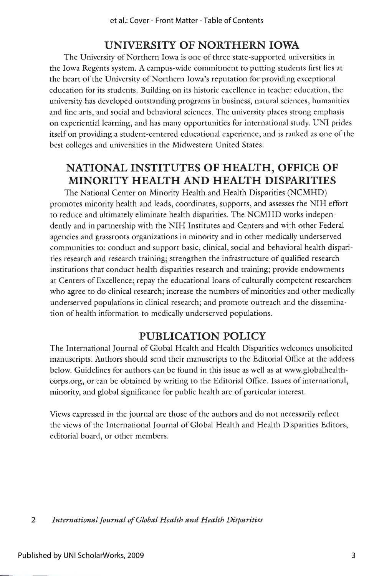## **UNIVERSITY OF NORTHERN IOWA**

The University of Northern Iowa is one of three state-supported universities in the Iowa Regents system. A campus-wide commitment to putting students first lies at the heart of the University of Northern Iowa's reputation for providing exceptional education for its students. Building on its historic excellence in teacher education, the university has developed outstanding programs in business, natural sciences, humanities and fine arts, and social and behavioral sciences. The university places strong emphasis on experiential learning, and has many opportunities for international study. UNI prides itself on providing a student-centered educational experience, and is ranked as one of the best colleges and universities in the Midwestern United States.

# **NATIONAL INSTITUTES OF HEALTH, OFFICE OF MINORITY HEALTH AND HEALTH DISPARITIES**

The National Center on Minority Health and Health Disparities (NCMHD) promotes minority health and leads, coordinates, supports, and assesses the NIH effort to reduce and ultimately eliminate health disparities. The NCMHD works independently and in partnership with the NIH Institutes and Centers and with other Federal agencies and grassroots organizations in minority and in other medically underserved communities to: conduct and support basic, clinical, social and behavioral health disparities research and research training; strengthen the infrastructure of qualified research institutions that conduct health disparities research and training; provide endowments at Centers of Excellence; repay the educational loans of culturally competent researchers who agree to do clinical research; increase the numbers of minorities and other medically underserved populations in clinical research; and promote outreach and the dissemination of health information to medically underserved populations.

#### **PUBLICATION POLICY**

The International Journal of Global Health and Health Disparities welcomes unsolicited manuscripts. Authors should send their manuscripts to the Editorial Office at the address below. Guidelines for authors can be found in this issue as well as at www.globalhealthcorps.org, or can be obtained by writing to the Editorial Office. Issues of international, minority, and global significance for public health are of particular interest.

Views expressed in the journal are those of the authors and do not necessarily reflect the views of the International Journal of Global Health and Health Disparities Editors, editorial board, or other members.

2 *International Journal of Global Health and Health Disparities*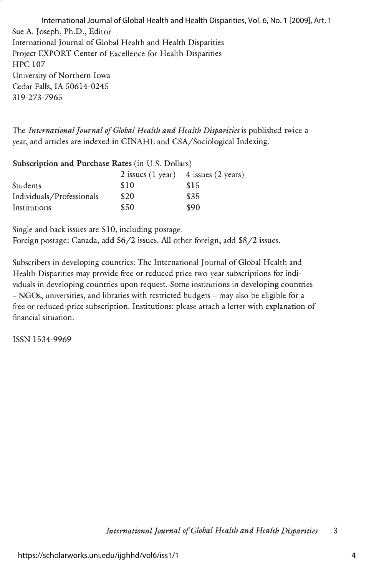Sue A. Joseph, Ph.D., Editor International Journal of Global Health and Health Disparities Project EXPORT Center of Excellence for Health Disparities HPC 107 University of Northern Iowa Cedar Falls, IA 50614-0245 319-273-7965 International Journal of Global Health and Health Disparities, Vol. 6, No. 1 [2009], Art. 1

The *International Journal of Global Health and Health Disparities* is published twice a year, and articles are indexed in CINAHL and CSA/Sociological Indexing.

| Subscription and Purchase Rates (in U.S. Dollars) |      |                                              |  |
|---------------------------------------------------|------|----------------------------------------------|--|
|                                                   |      | $2$ issues $(1$ year) $4$ issues $(2$ years) |  |
| Students                                          | \$10 | \$15                                         |  |
| Individuals/Professionals                         | \$20 | \$35                                         |  |
| Institutions                                      | \$50 | \$90                                         |  |

Single and back issues are \$10, including postage. Foreign postage: Canada, add \$6/2 issues. All other foreign, add \$8/2 issues.

Subscribers in developing countries: The International Journal of Global Health and Health Disparities may provide free or reduced price two-year subscriptions for individuals in developing countries upon request. Some institutions in developing countries - NGOs, universities, and libraries with restricted budgets - may also be eligible for a free or reduced-price subscription. Institutions: please attach a letter with explanation of financial situation.

ISSN 1534-9969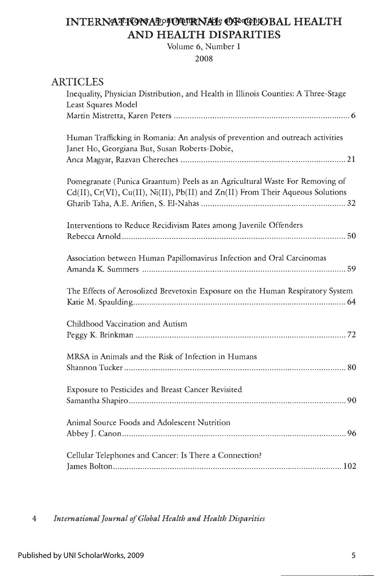## **INTERNATIONAL JOURNAL OG GELOBAL HEALTH AND HEALTH DISPARITIES**

Volume 6, Number **1** 

2008

| <b>ARTICLES</b><br>Inequality, Physician Distribution, and Health in Illinois Counties: A Three-Stage<br>Least Squares Model                                   |
|----------------------------------------------------------------------------------------------------------------------------------------------------------------|
| Human Trafficking in Romania: An analysis of prevention and outreach activities<br>Janet Ho, Georgiana But, Susan Roberts-Dobie,                               |
| Pomegranate (Punica Graantum) Peels as an Agricultural Waste For Removing of<br>Cd(II), Cr(VI), Cu(II), Ni(II), Pb(II) and Zn(II) From Their Aqueous Solutions |
| Interventions to Reduce Recidivism Rates among Juvenile Offenders                                                                                              |
| Association between Human Papillomavirus Infection and Oral Carcinomas                                                                                         |
| The Effects of Aerosolized Brevetoxin Exposure on the Human Respiratory System                                                                                 |
| Childhood Vaccination and Autism                                                                                                                               |
| MRSA in Animals and the Risk of Infection in Humans                                                                                                            |
| Exposure to Pesticides and Breast Cancer Revisited                                                                                                             |
| Animal Source Foods and Adolescent Nutrition                                                                                                                   |
| Cellular Telephones and Cancer: Is There a Connection?                                                                                                         |

4 *International Journal of Global Health and Health Disparities*